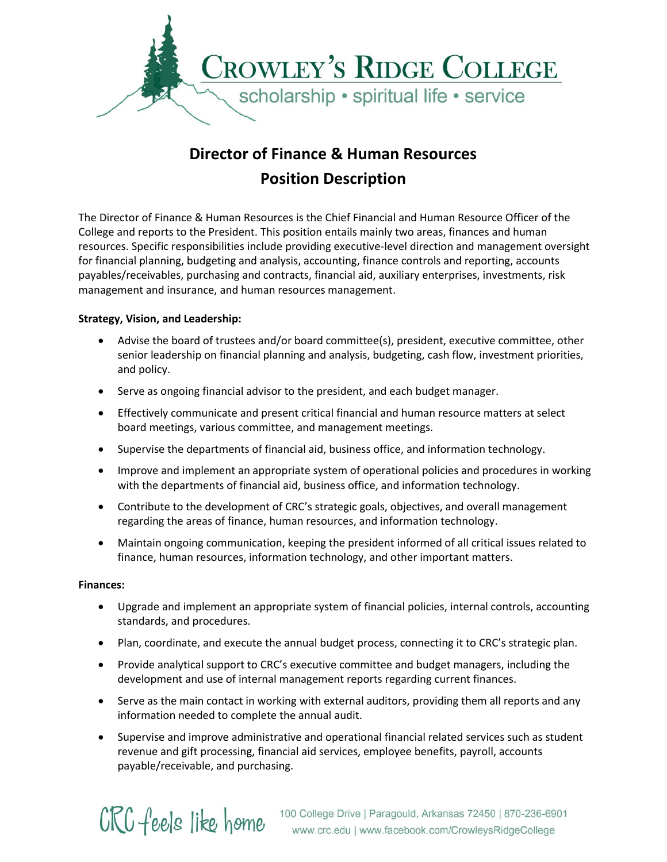

# **Director of Finance & Human Resources Position Description**

The Director of Finance & Human Resources is the Chief Financial and Human Resource Officer of the College and reports to the President. This position entails mainly two areas, finances and human resources. Specific responsibilities include providing executive-level direction and management oversight for financial planning, budgeting and analysis, accounting, finance controls and reporting, accounts payables/receivables, purchasing and contracts, financial aid, auxiliary enterprises, investments, risk management and insurance, and human resources management.

## **Strategy, Vision, and Leadership:**

- Advise the board of trustees and/or board committee(s), president, executive committee, other senior leadership on financial planning and analysis, budgeting, cash flow, investment priorities, and policy.
- Serve as ongoing financial advisor to the president, and each budget manager.
- Effectively communicate and present critical financial and human resource matters at select board meetings, various committee, and management meetings.
- Supervise the departments of financial aid, business office, and information technology.
- Improve and implement an appropriate system of operational policies and procedures in working with the departments of financial aid, business office, and information technology.
- Contribute to the development of CRC's strategic goals, objectives, and overall management regarding the areas of finance, human resources, and information technology.
- Maintain ongoing communication, keeping the president informed of all critical issues related to finance, human resources, information technology, and other important matters.

## **Finances:**

- Upgrade and implement an appropriate system of financial policies, internal controls, accounting standards, and procedures.
- Plan, coordinate, and execute the annual budget process, connecting it to CRC's strategic plan.
- Provide analytical support to CRC's executive committee and budget managers, including the development and use of internal management reports regarding current finances.
- Serve as the main contact in working with external auditors, providing them all reports and any information needed to complete the annual audit.
- Supervise and improve administrative and operational financial related services such as student revenue and gift processing, financial aid services, employee benefits, payroll, accounts payable/receivable, and purchasing.